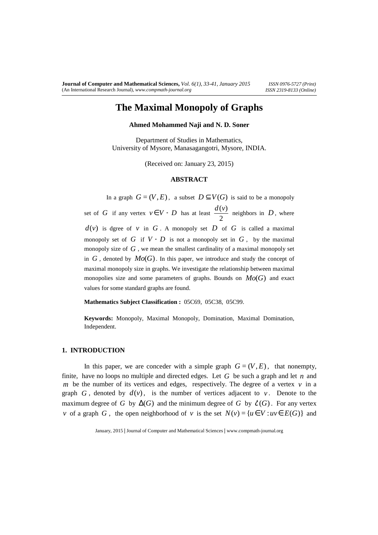# **The Maximal Monopoly of Graphs**

### **Ahmed Mohammed Naji and N. D. Soner**

Department of Studies in Mathematics, University of Mysore, Manasagangotri, Mysore, INDIA.

(Received on: January 23, 2015)

# **ABSTRACT**

In a graph  $G = (V, E)$ , a subset  $D \subseteq V(G)$  is said to be a monopoly set of *G* if any vertex  $v \in V - D$  has at least 2  $\frac{d(v)}{2}$  neighbors in *D*, where  $d(v)$  is dgree of *v* in *G*. A monopoly set *D* of *G* is called a maximal monopoly set of *G* if  $V - D$  is not a monopoly set in *G*, by the maximal monopoly size of *G* , we mean the smallest cardinality of a maximal monopoly set in  $G$ , denoted by  $Mo(G)$ . In this paper, we introduce and study the concept of maximal monopoly size in graphs. We investigate the relationship between maximal monopolies size and some parameters of graphs. Bounds on  $Mo(G)$  and exact values for some standard graphs are found.

**Mathematics Subject Classification :** 05C69, 05C38, 05C99.

**Keywords:** Monopoly, Maximal Monopoly, Domination, Maximal Domination, Independent.

#### **1. INTRODUCTION**

In this paper, we are conceder with a simple graph  $G = (V, E)$ , that nonempty, finite, have no loops no multiple and directed edges. Let *G* be such a graph and let *n* and *m* be the number of its vertices and edges, respectively. The degree of a vertex  $v$  in a graph  $G$ , denoted by  $d(v)$ , is the number of vertices adjacent to  $v$ . Denote to the maximum degree of *G* by  $\Delta(G)$  and the minimum degree of *G* by  $\mathcal{E}(G)$ . For any vertex *v* of a graph *G*, the open neighborhood of *v* is the set  $N(v) = {u \in V : uv \in E(G)}$  and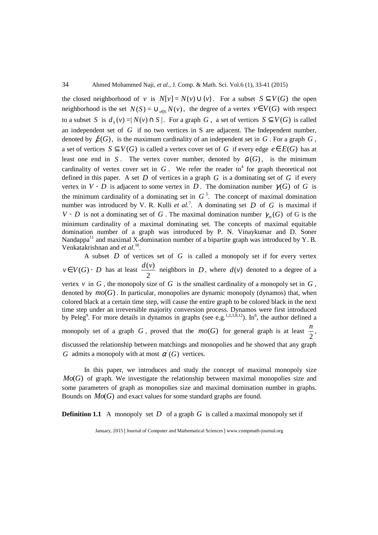the closed neighborhood of *v* is  $N[v] = N(v) \cup \{v\}$ . For a subset  $S \subseteq V(G)$  the open neighborhood is the set  $N(S) = \bigcup_{v \in S} N(v)$ , the degree of a vertex  $v \in V(G)$  with respect to a subset *S* is  $d_s(v) = |N(v) \cap S|$ . For a graph *G*, a set of vertices  $S \subseteq V(G)$  is called an independent set of *G* if no two vertices in S are adjacent. The Independent number, denoted by  $\beta(G)$ , is the maximum cardinality of an independent set in *G*. For a graph *G*, a set of vertices  $S ⊆ V(G)$  is called a vertex cover set of *G* if every edge  $e ∈ E(G)$  has at least one end in *S*. The vertex cover number, denoted by  $\alpha(G)$ , is the minimum cardinality of vertex cover set in  $G$ . We refer the reader to<sup>4</sup> for graph theoretical not defined in this paper. A set  $D$  of vertices in a graph  $G$  is a dominating set of  $G$  if every vertex in *V* − *D* is adjacent to some vertex in *D*. The domination number  $\gamma(G)$  of *G* is the minimum cardinality of a dominating set in  $G<sup>5</sup>$ . The concept of maximal domination number was introduced by V. R. Kulli *et al.*<sup>7</sup>. A dominating set  $D$  of  $G$  is maximal if *V* − *D* is not a dominating set of *G*. The maximal domination number  $\gamma_m(G)$  of G is the minimum cardinality of a maximal dominating set. The concepts of maximal equitable domination number of a graph was introduced by P. N. Vinaykumar and D. Soner Nandappa<sup>11</sup> and maximal X-domination number of a bipartite graph was introduced by Y. B. Venkatakrishnan and *et al*. 10 .

A subset *D* of vertices set of *G* is called a monopoly set if for every vertex  $v \in V(G)$  − *D* has at least 2  $\frac{d(v)}{dt}$  neighbors in *D*, where  $d(v)$  denoted to a degree of a vertex  $\nu$  in  $G$ , the monopoly size of  $G$  is the smallest cardinality of a monopoly set in  $G$ , denoted by  $mo(G)$ . In particular, monopolies are dynamic monopoly (dynamos) that, when colored black at a certain time step, will cause the entire graph to be colored black in the next time step under an irreversible majority conversion process. Dynamos were first introduced by Peleg<sup>9</sup>. For more details in dynamos in graphs (see e.g.<sup>1,2,3,8,12</sup>). In<sup>6</sup>, the author defined a monopoly set of a graph  $G$ , proved that the  $mo(G)$  for general graph is at least 2  $\frac{n}{2}$ , discussed the relationship between matchings and monopolies and he showed that any graph *G* admits a monopoly with at most  $\alpha'(G)$  vertices.

In this paper, we introduces and study the concept of maximal monopoly size *Mo*(*G*) of graph. We investigate the relationship between maximal monopolies size and some parameters of graph as monopolies size and maximal domination number in graphs. Bounds on *Mo*(*G*) and exact values for some standard graphs are found.

**Definition 1.1** A monopoly set *D* of a graph *G* is called a maximal monopoly set if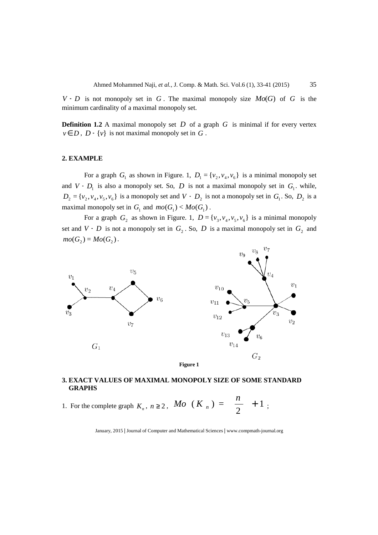*V* − *D* is not monopoly set in *G*. The maximal monopoly size  $Mo(G)$  of *G* is the minimum cardinality of a maximal monopoly set.

**Definition 1.2** A maximal monopoly set *D* of a graph *G* is minimal if for every vertex  $v \in D$ ,  $D - \{v\}$  is not maximal monopoly set in  $G$ .

## **2. EXAMPLE**

For a graph  $G_1$  as shown in Figure. 1,  $D_1 = \{v_2, v_4, v_6\}$  is a minimal monopoly set and  $V - D_1$  is also a monopoly set. So,  $D$  is not a maximal monopoly set in  $G_1$ , while,  $D_2 = \{v_2, v_4, v_5, v_6\}$  is a monopoly set and *V* −  $D_2$  is not a monopoly set in  $G_1$ . So,  $D_2$  is a maximal monopoly set in  $G_1$  and  $mo(G_1) < Mo(G_1)$ .

For a graph  $G_2$  as shown in Figure. 1,  $D = \{v_3, v_4, v_5, v_6\}$  is a minimal monopoly set and *V* - *D* is not a monopoly set in  $G_2$ . So, *D* is a maximal monopoly set in  $G_2$  and  $mo(G_2) = Mo(G_2)$ .



# **3. EXACT VALUES OF MAXIMAL MONOPOLY SIZE OF SOME STANDARD GRAPHS**

1. For the complete graph  $K_n$ ,  $n \ge 2$ , Mo  $(K_n) = \frac{n}{2} + 1$ 2  $(K_n) = \frac{n}{2}$  + *n Mo*  $(K_n) = \frac{n}{2} + 1$ ;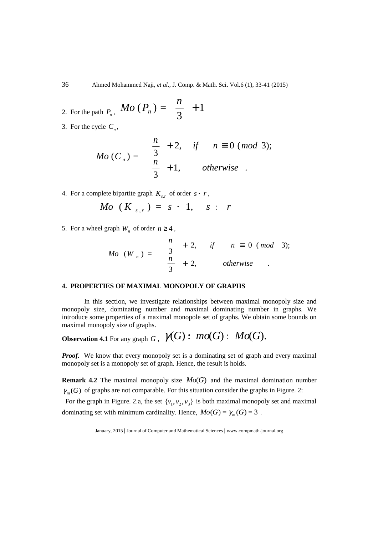36 Ahmed Mohammed Naji, *et al.,* J. Comp. & Math. Sci. Vol.6 (1), 33-41 (2015)

2. For the path 
$$
P_n
$$
,  $Mo(P_n) = \lceil \frac{n}{3} \rceil + 1$ 

3. For the cycle  $C_n$ ,

$$
Mo(C_n) = \begin{cases} \lceil \frac{n}{3} \rceil + 2, & \text{if } n \equiv 0 \ (mod \ 3); \\ \lceil \frac{n}{3} \rceil + 1, & \text{otherwise } . \end{cases}
$$

4. For a complete bipartite graph  $K_{s,r}$  of order  $s + r$ ,

$$
Mo (Ks,r) = s + 1, s \leq r
$$

5. For a wheel graph  $W_n$  of order  $n \geq 4$ ,

$$
Mo\ (W_n) = \begin{cases} \lceil \frac{n}{3} \rceil + 2, & \text{if } n \equiv 0 \ (mod \ 3); \\ \lfloor \frac{n}{3} \rfloor + 2, & \text{otherwise} \end{cases}
$$

## **4. PROPERTIES OF MAXIMAL MONOPOLY OF GRAPHS**

In this section, we investigate relationships between maximal monopoly size and monopoly size, dominating number and maximal dominating number in graphs. We introduce some properties of a maximal monopole set of graphs. We obtain some bounds on maximal monopoly size of graphs.

**Observation 4.1** For any graph *G* ,  $\mathcal{V}(G)$   $\colon$   $mo(G)$   $\colon$   $Mo(G)$ .

*Proof.* We know that every monopoly set is a dominating set of graph and every maximal monopoly set is a monopoly set of graph. Hence, the result is holds.

**Remark 4.2** The maximal monopoly size *Mo*(*G*) and the maximal domination number  $\gamma_m(G)$  of graphs are not comparable. For this situation consider the graphs in Figure. 2:

For the graph in Figure. 2.a, the set  $\{v_1, v_2, v_3\}$  is both maximal monopoly set and maximal dominating set with minimum cardinality. Hence,  $Mo(G) = \gamma_m(G) = 3$ .

January, 2015 **|** Journal of Computer and Mathematical Sciences **|** www.compmath-journal.org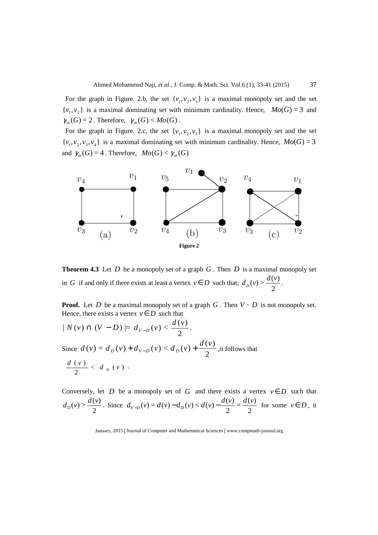For the graph in Figure. 2.b, the set  $\{v_1, v_2, v_3\}$  is a maximal monopoly set and the set  $\{v_1, v_2\}$  is a maximal dominating set with minimum cardinality. Hence,  $Mo(G) = 3$  and  $\gamma_m(G) = 2$ . Therefore,  $\gamma_m(G) < Mo(G)$ .

For the graph in Figure. 2.c, the set  $\{v_1, v_2, v_3\}$  is a maximal monopoly set and the set  $\{v_1, v_2, v_3, v_4\}$  is a maximal dominating set with minimum cardinality. Hence,  $Mo(G) = 3$ and  $\gamma_m(G) = 4$ . Therefore,  $Mo(G) < \gamma_m(G)$ 



**Theorem 4.3** Let *D* be a monopoly set of a graph *G* . Then *D* is a maximal monopoly set in *G* if and only if there exists at least a vertex  $v \in D$  such that; 2  $d_D(v) > \frac{d(v)}{2}$ .

**Proof.** Let *D* be a maximal monopoly set of a graph *G* . Then *V* − *D* is not monopoly set. Hence, there exists a vertex  $v \in D$  such that

$$
| N(v) \cap (V - D) | = d_{v-D}(v) < \frac{d(v)}{2}.
$$
  
Since  $d(v) = d_D(v) + d_{v-D}(v) < d_D(v) + \frac{d(v)}{2}$ , it follows that  

$$
\frac{d(v)}{2} < d_D(v).
$$

Conversely, let *D* be a monopoly set of *G* and there exists a vertex  $v \in D$  such that 2  $d_D(v) > \frac{d(v)}{2}$ . Since 2  $=\frac{d(v)}{2}$ 2  $d_{v-D}(v) = d(v) - d_D(v) < d(v) - \frac{d(v)}{2} = \frac{d(v)}{2}$  for some  $v \in D$ , it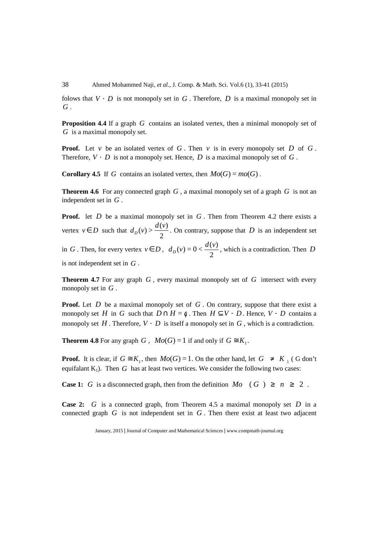38 Ahmed Mohammed Naji, *et al.,* J. Comp. & Math. Sci. Vol.6 (1), 33-41 (2015)

folows that *V* − *D* is not monopoly set in *G* . Therefore, *D* is a maximal monopoly set in *G* .

**Proposition 4.4** If a graph *G* contains an isolated vertex, then a minimal monopoly set of *G* is a maximal monopoly set.

**Proof.** Let *v* be an isolated vertex of  $G$ . Then *v* is in every monopoly set  $D$  of  $G$ . Therefore,  $V - D$  is not a monopoly set. Hence,  $D$  is a maximal monopoly set of  $G$ .

**Corollary 4.5** If *G* contains an isolated vertex, then  $Mo(G) = mo(G)$ .

**Theorem 4.6** For any connected graph *G* , a maximal monopoly set of a graph *G* is not an independent set in *G* .

**Proof.** let *D* be a maximal monopoly set in *G*. Then from Theorem 4.2 there exists a vertex  $v \in D$  such that 2  $d_D(v) > \frac{d(v)}{2}$ . On contrary, suppose that *D* is an independent set in *G* . Then, for every vertex  $v \in D$ , 2  $d_D(v) = 0 < \frac{d(v)}{2}$ , which is a contradiction. Then *D* is not independent set in *G* .

**Theorem 4.7** For any graph *G* , every maximal monopoly set of *G* intersect with every monopoly set in *G* .

**Proof.** Let D be a maximal monopoly set of G. On contrary, suppose that there exist a monopoly set *H* in *G* such that  $D \cap H = \emptyset$ . Then  $H \subseteq V - D$ . Hence,  $V - D$  contains a monopoly set  $H$ . Therefore,  $V - D$  is itself a monopoly set in  $G$ , which is a contradiction.

**Theorem 4.8** For any graph *G*,  $Mo(G) = 1$  if and only if  $G \cong K_1$ .

**Proof.** It is clear, if  $G \cong K_1$ , then  $Mo(G) = 1$ . On the other hand, let  $G \neq K_1$  (G don't equifalant  $K_1$ ). Then *G* has at least two vertices. We consider the following two cases:

**Case 1:** *G* is a disconnected graph, then from the definition  $Mo$  (*G*)  $\ge n \ge 2$ .

**Case 2:** *G* is a connected graph, from Theorem 4.5 a maximal monopoly set *D* in a connected graph *G* is not independent set in *G* . Then there exist at least two adjacent

January, 2015 **|** Journal of Computer and Mathematical Sciences **|** www.compmath-journal.org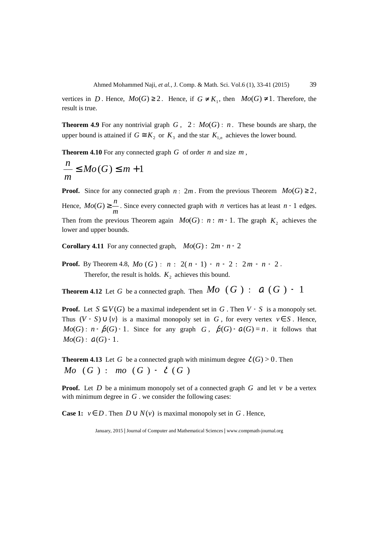vertices in *D*. Hence,  $Mo(G) \geq 2$ . Hence, if  $G \neq K_1$ , then  $Mo(G) \neq 1$ . Therefore, the result is true.

**Theorem 4.9** For any nontrivial graph  $G$ ,  $2 \leq M o(G) \leq n$ . These bounds are sharp, the upper bound is attained if  $G \cong K_2$  or  $K_3$  and the star  $K_{1,n}$  achieves the lower bound.

**Theorem 4.10** For any connected graph  $G$  of order  $n$  and size  $m$ ,

$$
\frac{n}{m} \leq Mo(G) \leq m+1
$$

**Proof.** Since for any connected graph  $n \leq 2m$ . From the previous Theorem  $Mo(G) \geq 2$ , Hence, *m*  $Mo(G) \geq \frac{n}{n}$ . Since every connected graph with *n* vertices has at least *n* − 1 edges. Then from the previous Theorem again  $Mo(G)$ :  $n : m+1$ . The graph  $K_2$  achieves the lower and upper bounds.

**Corollary 4.11** For any connected graph,  $Mo(G) \leq 2m - n + 2$ 

**Proof.** By Theorem 4.8,  $Mo(G)$ :  $n: 2(n-1) - n + 2 : 2m - n + 2$ . Therefor, the result is holds.  $K_2$  achieves this bound.

**Theorem 4.12** Let *G* be a connected graph. Then  $Mo$  (*G*) :  $a$  (*G*) + 1

**Proof.** Let  $S \subseteq V(G)$  be a maximal independent set in *G*. Then *V* - *S* is a monopoly set. Thus  $(V - S) \cup \{v\}$  is a maximal monopoly set in *G*, for every vertex  $v \in S$ . Hence, *Mo*(*G*) : *n* -  $\beta$ (*G*) + 1. Since for any graph *G*,  $\beta$ (*G*) +  $\alpha$ (*G*) = *n*. it follows that  $Mo(G)$  :  $\alpha(G)$  + 1.

**Theorem 4.13** Let *G* be a connected graph with minimum degree  $\delta(G) > 0$ . Then *Mo*  $(G)$   $\leq$  *mo*  $(G)$  +  $\delta$   $(G)$ 

**Proof.** Let  $D$  be a minimum monopoly set of a connected graph  $G$  and let  $\nu$  be a vertex with minimum degree in *G* . we consider the following cases:

**Case 1:**  $v \in D$ . Then  $D \cup N(v)$  is maximal monopoly set in G. Hence,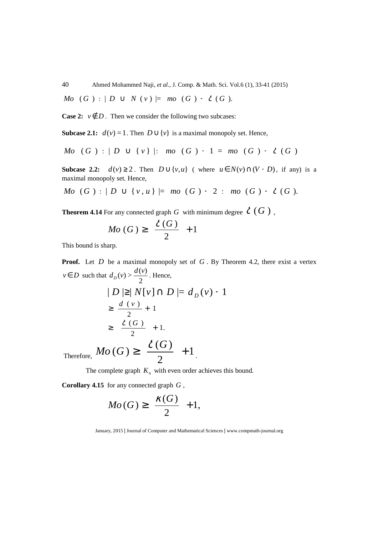40 Ahmed Mohammed Naji, *et al.,* J. Comp. & Math. Sci. Vol.6 (1), 33-41 (2015)

*Mo*  $(G) : |D \cup N(v)| = mo(G) + \delta(G)$ .

**Case 2:**  $v \notin D$ . Then we consider the following two subcases:

**Subcase 2.1:**  $d(v) = 1$ . Then  $D \cup \{v\}$  is a maximal monopoly set. Hence,

*Mo* 
$$
(G) : | D \cup \{v\}|
$$
: *mo*  $(G) + 1 = mo$   $(G) + \delta$   $(G)$ 

**Subcase 2.2:**  $d(v) \ge 2$ . Then  $D \cup \{v, u\}$  (where  $u \in N(v) \cap (V - D)$ , if any) is a maximal monopoly set. Hence,

*Mo* 
$$
(G) : | D \cup \{v, u\} | = \text{mo}(G) + 2 : \text{mo}(G) + \delta(G)
$$
.

**Theorem 4.14** For any connected graph *G* with minimum degree  $\delta$  (*G*),

$$
Mo\left(G\right)\geq\lceil\frac{\delta\left(G\right)}{2}\rceil+1
$$

This bound is sharp.

**Proof.** Let *D* be a maximal monopoly set of *G*. By Theorem 4.2, there exist a vertex  $v \in D$  such that 2  $d_D(v) > \frac{d(v)}{2}$ . Hence,

$$
|D| \geq |N[v] \cap D| = d_D(v) + 1
$$
  
\n
$$
\geq \frac{d(v)}{2} + 1
$$
  
\n
$$
\geq \lceil \frac{\delta(G)}{2} \rceil + 1.
$$
  
\nTherefore,  $Mo(G) \geq \lceil \frac{\delta(G)}{2} \rceil + 1$ .

The complete graph  $K_n$  with even order achieves this bound.

**Corollary 4.15** for any connected graph *G* ,

$$
Mo(G) \ge \lceil \frac{\kappa(G)}{2} \rceil + 1,
$$